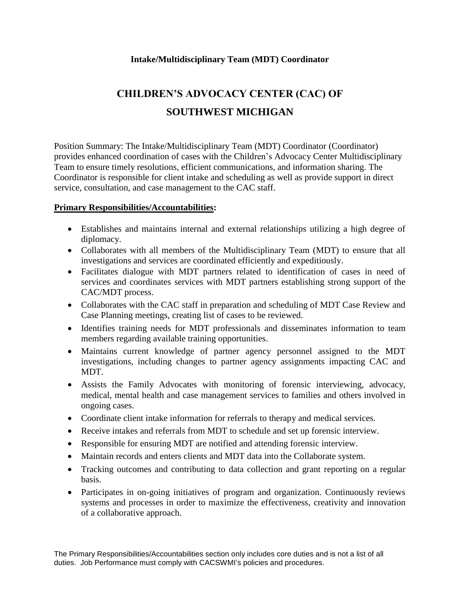## **Intake/Multidisciplinary Team (MDT) Coordinator**

## **CHILDREN'S ADVOCACY CENTER (CAC) OF SOUTHWEST MICHIGAN**

Position Summary: The Intake/Multidisciplinary Team (MDT) Coordinator (Coordinator) provides enhanced coordination of cases with the Children's Advocacy Center Multidisciplinary Team to ensure timely resolutions, efficient communications, and information sharing. The Coordinator is responsible for client intake and scheduling as well as provide support in direct service, consultation, and case management to the CAC staff.

## **Primary Responsibilities/Accountabilities:**

- Establishes and maintains internal and external relationships utilizing a high degree of diplomacy.
- Collaborates with all members of the Multidisciplinary Team (MDT) to ensure that all investigations and services are coordinated efficiently and expeditiously.
- Facilitates dialogue with MDT partners related to identification of cases in need of services and coordinates services with MDT partners establishing strong support of the CAC/MDT process.
- Collaborates with the CAC staff in preparation and scheduling of MDT Case Review and Case Planning meetings, creating list of cases to be reviewed.
- Identifies training needs for MDT professionals and disseminates information to team members regarding available training opportunities.
- Maintains current knowledge of partner agency personnel assigned to the MDT investigations, including changes to partner agency assignments impacting CAC and MDT.
- Assists the Family Advocates with monitoring of forensic interviewing, advocacy, medical, mental health and case management services to families and others involved in ongoing cases.
- Coordinate client intake information for referrals to therapy and medical services.
- Receive intakes and referrals from MDT to schedule and set up forensic interview.
- Responsible for ensuring MDT are notified and attending forensic interview.
- Maintain records and enters clients and MDT data into the Collaborate system.
- Tracking outcomes and contributing to data collection and grant reporting on a regular basis.
- Participates in on-going initiatives of program and organization. Continuously reviews systems and processes in order to maximize the effectiveness, creativity and innovation of a collaborative approach.